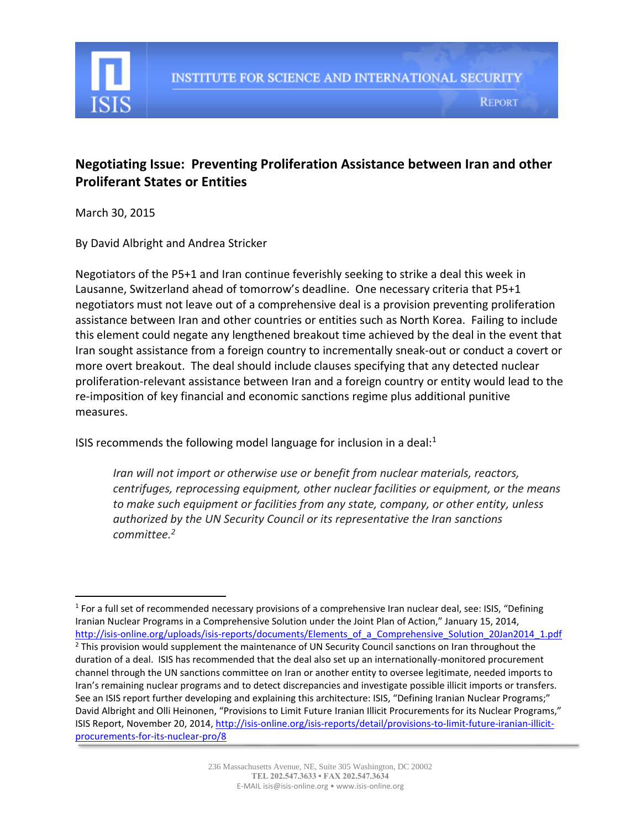

## **Negotiating Issue: Preventing Proliferation Assistance between Iran and other Proliferant States or Entities**

March 30, 2015

 $\overline{\phantom{a}}$ 

By David Albright and Andrea Stricker

Negotiators of the P5+1 and Iran continue feverishly seeking to strike a deal this week in Lausanne, Switzerland ahead of tomorrow's deadline. One necessary criteria that P5+1 negotiators must not leave out of a comprehensive deal is a provision preventing proliferation assistance between Iran and other countries or entities such as North Korea. Failing to include this element could negate any lengthened breakout time achieved by the deal in the event that Iran sought assistance from a foreign country to incrementally sneak-out or conduct a covert or more overt breakout. The deal should include clauses specifying that any detected nuclear proliferation-relevant assistance between Iran and a foreign country or entity would lead to the re-imposition of key financial and economic sanctions regime plus additional punitive measures.

ISIS recommends the following model language for inclusion in a deal: $1$ 

*Iran will not import or otherwise use or benefit from nuclear materials, reactors, centrifuges, reprocessing equipment, other nuclear facilities or equipment, or the means to make such equipment or facilities from any state, company, or other entity, unless authorized by the UN Security Council or its representative the Iran sanctions committee. 2* 

<sup>&</sup>lt;sup>1</sup> For a full set of recommended necessary provisions of a comprehensive Iran nuclear deal, see: ISIS, "Defining Iranian Nuclear Programs in a Comprehensive Solution under the Joint Plan of Action," January 15, 2014, http://isis-online.org/uploads/isis-reports/documents/Elements of a Comprehensive Solution 20Jan2014 1.pdf <sup>2</sup> This provision would supplement the maintenance of UN Security Council sanctions on Iran throughout the duration of a deal. ISIS has recommended that the deal also set up an internationally-monitored procurement channel through the UN sanctions committee on Iran or another entity to oversee legitimate, needed imports to Iran's remaining nuclear programs and to detect discrepancies and investigate possible illicit imports or transfers. See an ISIS report further developing and explaining this architecture: ISIS, "Defining Iranian Nuclear Programs;" David Albright and Olli Heinonen, "Provisions to Limit Future Iranian Illicit Procurements for its Nuclear Programs," ISIS Report, November 20, 2014, [http://isis-online.org/isis-reports/detail/provisions-to-limit-future-iranian-illicit](http://isis-online.org/isis-reports/detail/provisions-to-limit-future-iranian-illicit-procurements-for-its-nuclear-pro/8)[procurements-for-its-nuclear-pro/8](http://isis-online.org/isis-reports/detail/provisions-to-limit-future-iranian-illicit-procurements-for-its-nuclear-pro/8)